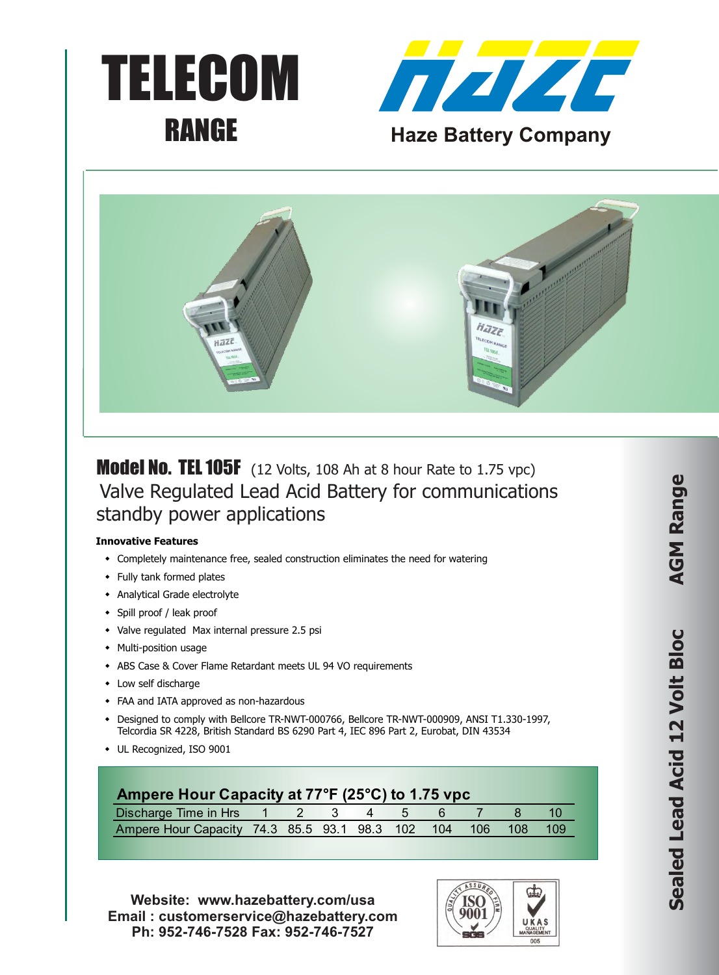





**Model No. TEL 105F** (12 Volts, 108 Ah at 8 hour Rate to 1.75 vpc) Valve Regulated Lead Acid Battery for communications standby power applications

## **Innovative Features**

- Completely maintenance free, sealed construction eliminates the need for watering
- Fully tank formed plates
- Analytical Grade electrolyte
- Spill proof / leak proof
- Valve regulated Max internal pressure 2.5 psi
- Multi-position usage
- \* ABS Case & Cover Flame Retardant meets UL 94 VO requirements
- $\bullet$  Low self discharge
- FAA and IATA approved as non-hazardous
- \* Designed to comply with Bellcore TR-NWT-000766, Bellcore TR-NWT-000909, ANSI T1.330-1997, Telcordia SR 4228, British Standard BS 6290 Part 4, IEC 896 Part 2, Eurobat, DIN 43534
- UL Recognized, ISO 9001

| Ampere Hour Capacity at 77°F (25°C) to 1.75 vpc              |  |  |  |  |  |
|--------------------------------------------------------------|--|--|--|--|--|
| Discharge Time in Hrs 1 2 3 4 5 6 7                          |  |  |  |  |  |
| Ampere Hour Capacity 74.3 85.5 93.1 98.3 102 104 106 108 109 |  |  |  |  |  |

**Website: www.hazebattery.com/usa Email : customerservice@hazebattery.com Ph: 952-746-7528 Fax: 952-746-7527**